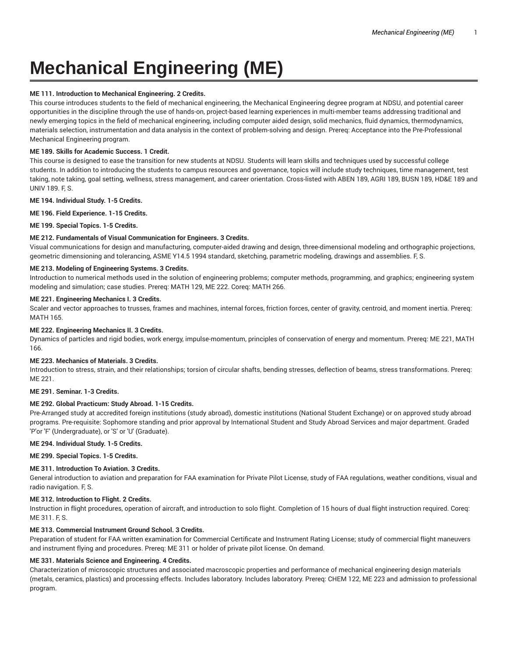# **Mechanical Engineering (ME)**

# **ME 111. Introduction to Mechanical Engineering. 2 Credits.**

This course introduces students to the field of mechanical engineering, the Mechanical Engineering degree program at NDSU, and potential career opportunities in the discipline through the use of hands-on, project-based learning experiences in multi-member teams addressing traditional and newly emerging topics in the field of mechanical engineering, including computer aided design, solid mechanics, fluid dynamics, thermodynamics, materials selection, instrumentation and data analysis in the context of problem-solving and design. Prereq: Acceptance into the Pre-Professional Mechanical Engineering program.

# **ME 189. Skills for Academic Success. 1 Credit.**

This course is designed to ease the transition for new students at NDSU. Students will learn skills and techniques used by successful college students. In addition to introducing the students to campus resources and governance, topics will include study techniques, time management, test taking, note taking, goal setting, wellness, stress management, and career orientation. Cross-listed with ABEN 189, AGRI 189, BUSN 189, HD&E 189 and UNIV 189. F, S.

# **ME 194. Individual Study. 1-5 Credits.**

**ME 196. Field Experience. 1-15 Credits.**

**ME 199. Special Topics. 1-5 Credits.**

# **ME 212. Fundamentals of Visual Communication for Engineers. 3 Credits.**

Visual communications for design and manufacturing, computer-aided drawing and design, three-dimensional modeling and orthographic projections, geometric dimensioning and tolerancing, ASME Y14.5 1994 standard, sketching, parametric modeling, drawings and assemblies. F, S.

# **ME 213. Modeling of Engineering Systems. 3 Credits.**

Introduction to numerical methods used in the solution of engineering problems; computer methods, programming, and graphics; engineering system modeling and simulation; case studies. Prereq: MATH 129, ME 222. Coreq: MATH 266.

## **ME 221. Engineering Mechanics I. 3 Credits.**

Scaler and vector approaches to trusses, frames and machines, internal forces, friction forces, center of gravity, centroid, and moment inertia. Prereq: MATH 165.

# **ME 222. Engineering Mechanics II. 3 Credits.**

Dynamics of particles and rigid bodies, work energy, impulse-momentum, principles of conservation of energy and momentum. Prereq: ME 221, MATH 166.

# **ME 223. Mechanics of Materials. 3 Credits.**

Introduction to stress, strain, and their relationships; torsion of circular shafts, bending stresses, deflection of beams, stress transformations. Prereq: ME 221.

# **ME 291. Seminar. 1-3 Credits.**

# **ME 292. Global Practicum: Study Abroad. 1-15 Credits.**

Pre-Arranged study at accredited foreign institutions (study abroad), domestic institutions (National Student Exchange) or on approved study abroad programs. Pre-requisite: Sophomore standing and prior approval by International Student and Study Abroad Services and major department. Graded 'P'or 'F' (Undergraduate), or 'S' or 'U' (Graduate).

## **ME 294. Individual Study. 1-5 Credits.**

**ME 299. Special Topics. 1-5 Credits.**

# **ME 311. Introduction To Aviation. 3 Credits.**

General introduction to aviation and preparation for FAA examination for Private Pilot License, study of FAA regulations, weather conditions, visual and radio navigation. F, S.

# **ME 312. Introduction to Flight. 2 Credits.**

Instruction in flight procedures, operation of aircraft, and introduction to solo flight. Completion of 15 hours of dual flight instruction required. Coreq: ME 311. F, S.

# **ME 313. Commercial Instrument Ground School. 3 Credits.**

Preparation of student for FAA written examination for Commercial Certificate and Instrument Rating License; study of commercial flight maneuvers and instrument flying and procedures. Prereq: ME 311 or holder of private pilot license. On demand.

# **ME 331. Materials Science and Engineering. 4 Credits.**

Characterization of microscopic structures and associated macroscopic properties and performance of mechanical engineering design materials (metals, ceramics, plastics) and processing effects. Includes laboratory. Includes laboratory. Prereq: CHEM 122, ME 223 and admission to professional program.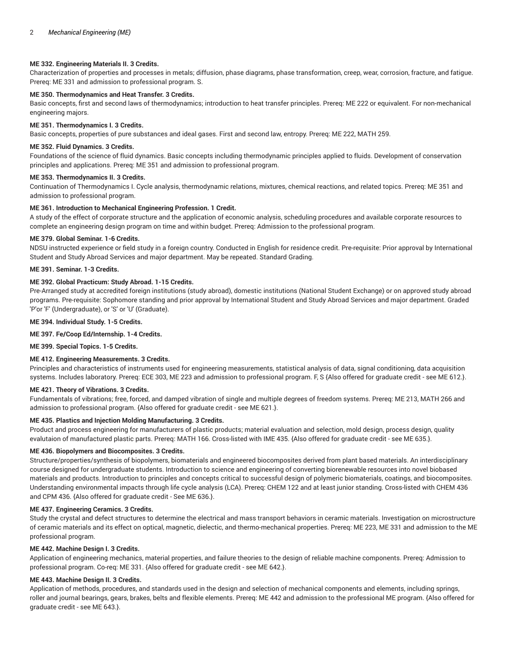# **ME 332. Engineering Materials II. 3 Credits.**

Characterization of properties and processes in metals; diffusion, phase diagrams, phase transformation, creep, wear, corrosion, fracture, and fatigue. Prereq: ME 331 and admission to professional program. S.

## **ME 350. Thermodynamics and Heat Transfer. 3 Credits.**

Basic concepts, first and second laws of thermodynamics; introduction to heat transfer principles. Prereq: ME 222 or equivalent. For non-mechanical engineering majors.

# **ME 351. Thermodynamics I. 3 Credits.**

Basic concepts, properties of pure substances and ideal gases. First and second law, entropy. Prereq: ME 222, MATH 259.

# **ME 352. Fluid Dynamics. 3 Credits.**

Foundations of the science of fluid dynamics. Basic concepts including thermodynamic principles applied to fluids. Development of conservation principles and applications. Prereq: ME 351 and admission to professional program.

# **ME 353. Thermodynamics II. 3 Credits.**

Continuation of Thermodynamics I. Cycle analysis, thermodynamic relations, mixtures, chemical reactions, and related topics. Prereq: ME 351 and admission to professional program.

## **ME 361. Introduction to Mechanical Engineering Profession. 1 Credit.**

A study of the effect of corporate structure and the application of economic analysis, scheduling procedures and available corporate resources to complete an engineering design program on time and within budget. Prereq: Admission to the professional program.

## **ME 379. Global Seminar. 1-6 Credits.**

NDSU instructed experience or field study in a foreign country. Conducted in English for residence credit. Pre-requisite: Prior approval by International Student and Study Abroad Services and major department. May be repeated. Standard Grading.

# **ME 391. Seminar. 1-3 Credits.**

## **ME 392. Global Practicum: Study Abroad. 1-15 Credits.**

Pre-Arranged study at accredited foreign institutions (study abroad), domestic institutions (National Student Exchange) or on approved study abroad programs. Pre-requisite: Sophomore standing and prior approval by International Student and Study Abroad Services and major department. Graded 'P'or 'F' (Undergraduate), or 'S' or 'U' (Graduate).

## **ME 394. Individual Study. 1-5 Credits.**

## **ME 397. Fe/Coop Ed/Internship. 1-4 Credits.**

**ME 399. Special Topics. 1-5 Credits.**

# **ME 412. Engineering Measurements. 3 Credits.**

Principles and characteristics of instruments used for engineering measurements, statistical analysis of data, signal conditioning, data acquisition systems. Includes laboratory. Prereq: ECE 303, ME 223 and admission to professional program. F, S {Also offered for graduate credit - see ME 612.}.

## **ME 421. Theory of Vibrations. 3 Credits.**

Fundamentals of vibrations; free, forced, and damped vibration of single and multiple degrees of freedom systems. Prereq: ME 213, MATH 266 and admission to professional program. {Also offered for graduate credit - see ME 621.}.

## **ME 435. Plastics and Injection Molding Manufacturing. 3 Credits.**

Product and process engineering for manufacturers of plastic products; material evaluation and selection, mold design, process design, quality evalutaion of manufactured plastic parts. Prereq: MATH 166. Cross-listed with IME 435. {Also offered for graduate credit - see ME 635.}.

## **ME 436. Biopolymers and Biocomposites. 3 Credits.**

Structure/properties/synthesis of biopolymers, biomaterials and engineered biocomposites derived from plant based materials. An interdisciplinary course designed for undergraduate students. Introduction to science and engineering of converting biorenewable resources into novel biobased materials and products. Introduction to principles and concepts critical to successful design of polymeric biomaterials, coatings, and biocomposites. Understanding environmental impacts through life cycle analysis (LCA). Prereq: CHEM 122 and at least junior standing. Cross-listed with CHEM 436 and CPM 436. {Also offered for graduate credit - See ME 636.}.

## **ME 437. Engineering Ceramics. 3 Credits.**

Study the crystal and defect structures to determine the electrical and mass transport behaviors in ceramic materials. Investigation on microstructure of ceramic materials and its effect on optical, magnetic, dielectic, and thermo-mechanical properties. Prereq: ME 223, ME 331 and admission to the ME professional program.

## **ME 442. Machine Design I. 3 Credits.**

Application of engineering mechanics, material properties, and failure theories to the design of reliable machine components. Prereq: Admission to professional program. Co-req: ME 331. {Also offered for graduate credit - see ME 642.}.

# **ME 443. Machine Design II. 3 Credits.**

Application of methods, procedures, and standards used in the design and selection of mechanical components and elements, including springs, roller and journal bearings, gears, brakes, belts and flexible elements. Prereq: ME 442 and admission to the professional ME program. {Also offered for graduate credit - see ME 643.}.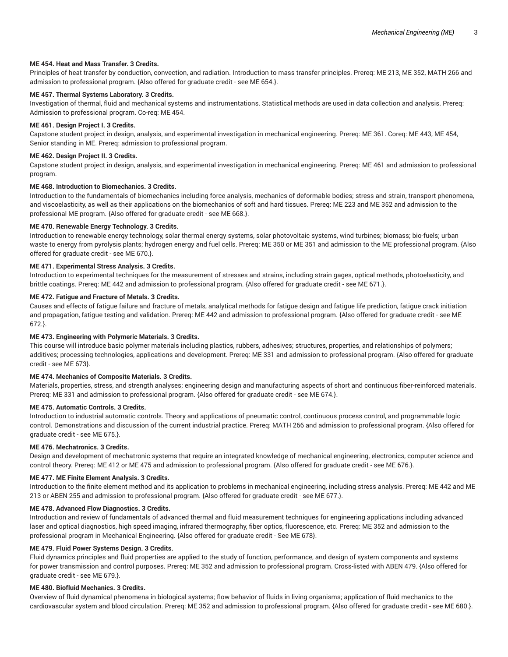# **ME 454. Heat and Mass Transfer. 3 Credits.**

Principles of heat transfer by conduction, convection, and radiation. Introduction to mass transfer principles. Prereq: ME 213, ME 352, MATH 266 and admission to professional program. {Also offered for graduate credit - see ME 654.}.

# **ME 457. Thermal Systems Laboratory. 3 Credits.**

Investigation of thermal, fluid and mechanical systems and instrumentations. Statistical methods are used in data collection and analysis. Prereq: Admission to professional program. Co-req: ME 454.

## **ME 461. Design Project I. 3 Credits.**

Capstone student project in design, analysis, and experimental investigation in mechanical engineering. Prereq: ME 361. Coreq: ME 443, ME 454, Senior standing in ME. Prereq: admission to professional program.

# **ME 462. Design Project II. 3 Credits.**

Capstone student project in design, analysis, and experimental investigation in mechanical engineering. Prereq: ME 461 and admission to professional program.

# **ME 468. Introduction to Biomechanics. 3 Credits.**

Introduction to the fundamentals of biomechanics including force analysis, mechanics of deformable bodies; stress and strain, transport phenomena, and viscoelasticity, as well as their applications on the biomechanics of soft and hard tissues. Prereq: ME 223 and ME 352 and admission to the professional ME program. {Also offered for graduate credit - see ME 668.}.

## **ME 470. Renewable Energy Technology. 3 Credits.**

Introduction to renewable energy technology, solar thermal energy systems, solar photovoltaic systems, wind turbines; biomass; bio-fuels; urban waste to energy from pyrolysis plants; hydrogen energy and fuel cells. Prereq: ME 350 or ME 351 and admission to the ME professional program. {Also offered for graduate credit - see ME 670.}.

## **ME 471. Experimental Stress Analysis. 3 Credits.**

Introduction to experimental techniques for the measurement of stresses and strains, including strain gages, optical methods, photoelasticity, and brittle coatings. Prereq: ME 442 and admission to professional program. {Also offered for graduate credit - see ME 671.}.

## **ME 472. Fatigue and Fracture of Metals. 3 Credits.**

Causes and effects of fatigue failure and fracture of metals, analytical methods for fatigue design and fatigue life prediction, fatigue crack initiation and propagation, fatigue testing and validation. Prereq: ME 442 and admission to professional program. {Also offered for graduate credit - see ME 672.}.

# **ME 473. Engineering with Polymeric Materials. 3 Credits.**

This course will introduce basic polymer materials including plastics, rubbers, adhesives; structures, properties, and relationships of polymers; additives; processing technologies, applications and development. Prereq: ME 331 and admission to professional program. {Also offered for graduate credit - see ME 673}.

## **ME 474. Mechanics of Composite Materials. 3 Credits.**

Materials, properties, stress, and strength analyses; engineering design and manufacturing aspects of short and continuous fiber-reinforced materials. Prereq: ME 331 and admission to professional program. {Also offered for graduate credit - see ME 674.}.

## **ME 475. Automatic Controls. 3 Credits.**

Introduction to industrial automatic controls. Theory and applications of pneumatic control, continuous process control, and programmable logic control. Demonstrations and discussion of the current industrial practice. Prereq: MATH 266 and admission to professional program. {Also offered for graduate credit - see ME 675.}.

## **ME 476. Mechatronics. 3 Credits.**

Design and development of mechatronic systems that require an integrated knowledge of mechanical engineering, electronics, computer science and control theory. Prereq: ME 412 or ME 475 and admission to professional program. {Also offered for graduate credit - see ME 676.}.

# **ME 477. ME Finite Element Analysis. 3 Credits.**

Introduction to the finite element method and its application to problems in mechanical engineering, including stress analysis. Prereq: ME 442 and ME 213 or ABEN 255 and admission to professional program. {Also offered for graduate credit - see ME 677.}.

## **ME 478. Advanced Flow Diagnostics. 3 Credits.**

Introduction and review of fundamentals of advanced thermal and fluid measurement techniques for engineering applications including advanced laser and optical diagnostics, high speed imaging, infrared thermography, fiber optics, fluorescence, etc. Prereq: ME 352 and admission to the professional program in Mechanical Engineering. {Also offered for graduate credit - See ME 678}.

# **ME 479. Fluid Power Systems Design. 3 Credits.**

Fluid dynamics principles and fluid properties are applied to the study of function, performance, and design of system components and systems for power transmission and control purposes. Prereq: ME 352 and admission to professional program. Cross-listed with ABEN 479. {Also offered for graduate credit - see ME 679.}.

## **ME 480. Biofluid Mechanics. 3 Credits.**

Overview of fluid dynamical phenomena in biological systems; flow behavior of fluids in living organisms; application of fluid mechanics to the cardiovascular system and blood circulation. Prereq: ME 352 and admission to professional program. {Also offered for graduate credit - see ME 680.}.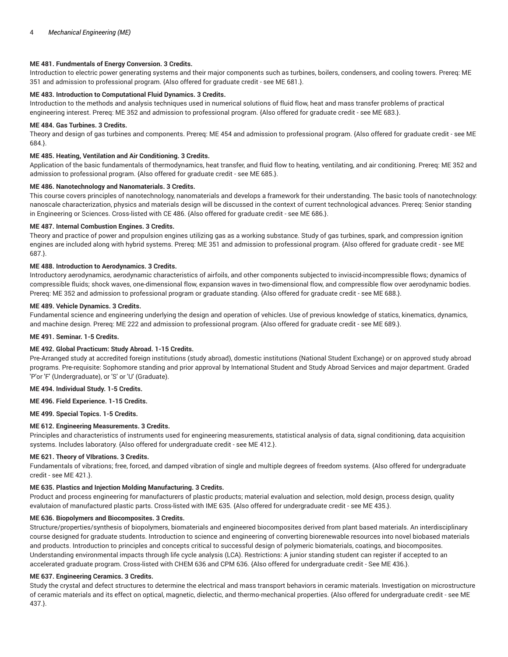# **ME 481. Fundmentals of Energy Conversion. 3 Credits.**

Introduction to electric power generating systems and their major components such as turbines, boilers, condensers, and cooling towers. Prereq: ME 351 and admission to professional program. {Also offered for graduate credit - see ME 681.}.

# **ME 483. Introduction to Computational Fluid Dynamics. 3 Credits.**

Introduction to the methods and analysis techniques used in numerical solutions of fluid flow, heat and mass transfer problems of practical engineering interest. Prereq: ME 352 and admission to professional program. {Also offered for graduate credit - see ME 683.}.

# **ME 484. Gas Turbines. 3 Credits.**

Theory and design of gas turbines and components. Prereq: ME 454 and admission to professional program. {Also offered for graduate credit - see ME 684.}.

# **ME 485. Heating, Ventilation and Air Conditioning. 3 Credits.**

Application of the basic fundamentals of thermodynamics, heat transfer, and fluid flow to heating, ventilating, and air conditioning. Prereq: ME 352 and admission to professional program. {Also offered for graduate credit - see ME 685.}.

# **ME 486. Nanotechnology and Nanomaterials. 3 Credits.**

This course covers principles of nanotechnology, nanomaterials and develops a framework for their understanding. The basic tools of nanotechnology: nanoscale characterization, physics and materials design will be discussed in the context of current technological advances. Prereq: Senior standing in Engineering or Sciences. Cross-listed with CE 486. {Also offered for graduate credit - see ME 686.}.

## **ME 487. Internal Combustion Engines. 3 Credits.**

Theory and practice of power and propulsion engines utilizing gas as a working substance. Study of gas turbines, spark, and compression ignition engines are included along with hybrid systems. Prereq: ME 351 and admission to professional program. {Also offered for graduate credit - see ME 687.}.

# **ME 488. Introduction to Aerodynamics. 3 Credits.**

Introductory aerodynamics, aerodynamic characteristics of airfoils, and other components subjected to inviscid-incompressible flows; dynamics of compressible fluids; shock waves, one-dimensional flow, expansion waves in two-dimensional flow, and compressible flow over aerodynamic bodies. Prereq: ME 352 and admission to professional program or graduate standing. {Also offered for graduate credit - see ME 688.}.

## **ME 489. Vehicle Dynamics. 3 Credits.**

Fundamental science and engineering underlying the design and operation of vehicles. Use of previous knowledge of statics, kinematics, dynamics, and machine design. Prereq: ME 222 and admission to professional program. {Also offered for graduate credit - see ME 689.}.

## **ME 491. Seminar. 1-5 Credits.**

# **ME 492. Global Practicum: Study Abroad. 1-15 Credits.**

Pre-Arranged study at accredited foreign institutions (study abroad), domestic institutions (National Student Exchange) or on approved study abroad programs. Pre-requisite: Sophomore standing and prior approval by International Student and Study Abroad Services and major department. Graded 'P'or 'F' (Undergraduate), or 'S' or 'U' (Graduate).

## **ME 494. Individual Study. 1-5 Credits.**

# **ME 496. Field Experience. 1-15 Credits.**

**ME 499. Special Topics. 1-5 Credits.**

# **ME 612. Engineering Measurements. 3 Credits.**

Principles and characteristics of instruments used for engineering measurements, statistical analysis of data, signal conditioning, data acquisition systems. Includes laboratory. {Also offered for undergraduate credit - see ME 412.}.

# **ME 621. Theory of VIbrations. 3 Credits.**

Fundamentals of vibrations; free, forced, and damped vibration of single and multiple degrees of freedom systems. {Also offered for undergraduate credit - see ME 421.}.

## **ME 635. Plastics and Injection Molding Manufacturing. 3 Credits.**

Product and process engineering for manufacturers of plastic products; material evaluation and selection, mold design, process design, quality evalutaion of manufactured plastic parts. Cross-listed with IME 635. {Also offered for undergraduate credit - see ME 435.}.

# **ME 636. Biopolymers and Biocomposites. 3 Credits.**

Structure/properties/synthesis of biopolymers, biomaterials and engineered biocomposites derived from plant based materials. An interdisciplinary course designed for graduate students. Introduction to science and engineering of converting biorenewable resources into novel biobased materials and products. Introduction to principles and concepts critical to successful design of polymeric biomaterials, coatings, and biocomposites. Understanding environmental impacts through life cycle analysis (LCA). Restrictions: A junior standing student can register if accepted to an accelerated graduate program. Cross-listed with CHEM 636 and CPM 636. {Also offered for undergraduate credit - See ME 436.}.

# **ME 637. Engineering Ceramics. 3 Credits.**

Study the crystal and defect structures to determine the electrical and mass transport behaviors in ceramic materials. Investigation on microstructure of ceramic materials and its effect on optical, magnetic, dielectic, and thermo-mechanical properties. {Also offered for undergraduate credit - see ME 437.}.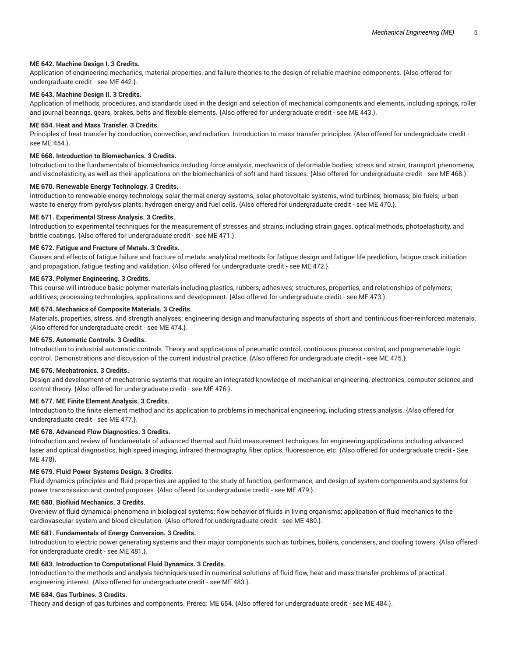## **ME 642. Machine Design I. 3 Credits.**

Application of engineering mechanics, material properties, and failure theories to the design of reliable machine components. {Also offered for undergraduate credit - see ME 442.}.

# **ME 643. Machine Design II. 3 Credits.**

Application of methods, procedures, and standards used in the design and selection of mechanical components and elements, including springs, roller and journal bearings, gears, brakes, belts and flexible elements. {Also offered for undergraduate credit - see ME 443.}.

## **ME 654. Heat and Mass Transfer. 3 Credits.**

Principles of heat transfer by conduction, convection, and radiation. Introduction to mass transfer principles. {Also offered for undergraduate credit see ME 454.}.

# **ME 668. Introduction to Biomechanics. 3 Credits.**

Introduction to the fundamentals of biomechanics including force analysis, mechanics of deformable bodies; stress and strain, transport phenomena, and viscoelasticity, as well as their applications on the biomechanics of soft and hard tissues. {Also offered for undergraduate credit - see ME 468.}.

## **ME 670. Renewable Energy Technology. 3 Credits.**

Introduction to renewable energy technology, solar thermal energy systems, solar photovoltaic systems, wind turbines; biomass; bio-fuels; urban waste to energy from pyrolysis plants; hydrogen energy and fuel cells. {Also offered for undergraduate credit - see ME 470.}.

## **ME 671. Experimental Stress Analysis. 3 Credits.**

Introduction to experimental techniques for the measurement of stresses and strains, including strain gages, optical methods, photoelasticity, and brittle coatings. {Also offered for undergraduate credit - see ME 471.}.

## **ME 672. Fatigue and Fracture of Metals. 3 Credits.**

Causes and effects of fatigue failure and fracture of metals, analytical methods for fatigue design and fatigue life prediction, fatigue crack initiation and propagation, fatigue testing and validation. {Also offered for undergraduate credit - see ME 472.}.

## **ME 673. Polymer Engineering. 3 Credits.**

This course will introduce basic polymer materials including plastics, rubbers, adhesives; structures, properties, and relationships of polymers; additives; processing technologies, applications and development. {Also offered for undergraduate credit - see ME 473.}.

# **ME 674. Mechanics of Composite Materials. 3 Credits.**

Materials, properties, stress, and strength analyses; engineering design and manufacturing aspects of short and continuous fiber-reinforced materials. {Also offered for undergraduate credit - see ME 474.}.

## **ME 675. Automatic Controls. 3 Credits.**

Introduction to industrial automatic controls. Theory and applications of pneumatic control, continuous process control, and programmable logic control. Demonstrations and discussion of the current industrial practice. {Also offered for undergraduate credit - see ME 475.}.

# **ME 676. Mechatronics. 3 Credits.**

Design and development of mechatronic systems that require an integrated knowledge of mechanical engineering, electronics, computer science and control theory. {Also offered for undergraduate credit - see ME 476.}.

# **ME 677. ME Finite Element Analysis. 3 Credits.**

Introduction to the finite element method and its application to problems in mechanical engineering, including stress analysis. {Also offered for undergraduate credit - see ME 477.}.

# **ME 678. Advanced Flow Diagnostics. 3 Credits.**

Introduction and review of fundamentals of advanced thermal and fluid measurement techniques for engineering applications including advanced laser and optical diagnostics, high speed imaging, infrared thermography, fiber optics, fluorescence, etc. {Also offered for undergraduate credit - See ME 478}.

## **ME 679. Fluid Power Systems Design. 3 Credits.**

Fluid dynamics principles and fluid properties are applied to the study of function, performance, and design of system components and systems for power transmission and control purposes. {Also offered for undergraduate credit - see ME 479.}.

## **ME 680. Biofluid Mechanics. 3 Credits.**

Overview of fluid dynamical phenomena in biological systems; flow behavior of fluids in living organisms; application of fluid mechanics to the cardiovascular system and blood circulation. {Also offered for undergraduate credit - see ME 480.}.

## **ME 681. Fundamentals of Energy Conversion. 3 Credits.**

Introduction to electric power generating systems and their major components such as turbines, boilers, condensers, and cooling towers. {Also offered for undergraduate credit - see ME 481.}.

# **ME 683. Introduction to Computational Fluid Dynamics. 3 Credits.**

Introduction to the methods and analysis techniques used in numerical solutions of fluid flow, heat and mass transfer problems of practical engineering interest. {Also offered for undergraduate credit - see ME 483.}.

## **ME 684. Gas Turbines. 3 Credits.**

Theory and design of gas turbines and components. Prereq: ME 654. {Also offered for undergraduate credit - see ME 484.}.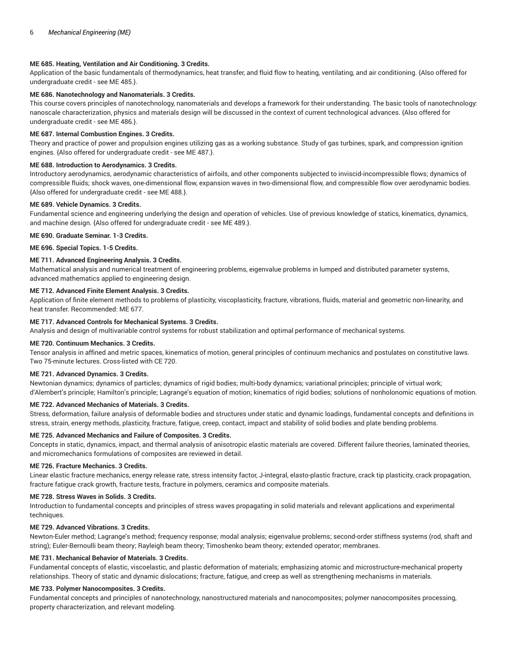# **ME 685. Heating, Ventilation and Air Conditioning. 3 Credits.**

Application of the basic fundamentals of thermodynamics, heat transfer, and fluid flow to heating, ventilating, and air conditioning. {Also offered for undergraduate credit - see ME 485.}.

# **ME 686. Nanotechnology and Nanomaterials. 3 Credits.**

This course covers principles of nanotechnology, nanomaterials and develops a framework for their understanding. The basic tools of nanotechnology: nanoscale characterization, physics and materials design will be discussed in the context of current technological advances. {Also offered for undergraduate credit - see ME 486.}.

## **ME 687. Internal Combustion Engines. 3 Credits.**

Theory and practice of power and propulsion engines utilizing gas as a working substance. Study of gas turbines, spark, and compression ignition engines. {Also offered for undergraduate credit - see ME 487.}.

## **ME 688. Introduction to Aerodynamics. 3 Credits.**

Introductory aerodynamics, aerodynamic characteristics of airfoils, and other components subjected to inviscid-incompressible flows; dynamics of compressible fluids; shock waves, one-dimensional flow, expansion waves in two-dimensional flow, and compressible flow over aerodynamic bodies. {Also offered for undergraduate credit - see ME 488.}.

## **ME 689. Vehicle Dynamics. 3 Credits.**

Fundamental science and engineering underlying the design and operation of vehicles. Use of previous knowledge of statics, kinematics, dynamics, and machine design. {Also offered for undergraduate credit - see ME 489.}.

## **ME 690. Graduate Seminar. 1-3 Credits.**

**ME 696. Special Topics. 1-5 Credits.**

## **ME 711. Advanced Engineering Analysis. 3 Credits.**

Mathematical analysis and numerical treatment of engineering problems, eigenvalue problems in lumped and distributed parameter systems, advanced mathematics applied to engineering design.

# **ME 712. Advanced Finite Element Analysis. 3 Credits.**

Application of finite element methods to problems of plasticity, viscoplasticity, fracture, vibrations, fluids, material and geometric non-linearity, and heat transfer. Recommended: ME 677.

## **ME 717. Advanced Controls for Mechanical Systems. 3 Credits.**

Analysis and design of multivariable control systems for robust stabilization and optimal performance of mechanical systems.

## **ME 720. Continuum Mechanics. 3 Credits.**

Tensor analysis in affined and metric spaces, kinematics of motion, general principles of continuum mechanics and postulates on constitutive laws. Two 75-minute lectures. Cross-listed with CE 720.

## **ME 721. Advanced Dynamics. 3 Credits.**

Newtonian dynamics; dynamics of particles; dynamics of rigid bodies; multi-body dynamics; variational principles; principle of virtual work; d'Alembert's principle; Hamilton's principle; Lagrange's equation of motion; kinematics of rigid bodies; solutions of nonholonomic equations of motion.

## **ME 722. Advanced Mechanics of Materials. 3 Credits.**

Stress, deformation, failure analysis of deformable bodies and structures under static and dynamic loadings, fundamental concepts and definitions in stress, strain, energy methods, plasticity, fracture, fatigue, creep, contact, impact and stability of solid bodies and plate bending problems.

## **ME 725. Advanced Mechanics and Failure of Composites. 3 Credits.**

Concepts in static, dynamics, impact, and thermal analysis of anisotropic elastic materials are covered. Different failure theories, laminated theories, and micromechanics formulations of composites are reviewed in detail.

## **ME 726. Fracture Mechanics. 3 Credits.**

Linear elastic fracture mechanics, energy release rate, stress intensity factor, J-integral, elasto-plastic fracture, crack tip plasticity, crack propagation, fracture fatigue crack growth, fracture tests, fracture in polymers, ceramics and composite materials.

## **ME 728. Stress Waves in Solids. 3 Credits.**

Introduction to fundamental concepts and principles of stress waves propagating in solid materials and relevant applications and experimental techniques.

## **ME 729. Advanced Vibrations. 3 Credits.**

Newton-Euler method; Lagrange's method; frequency response; modal analysis; eigenvalue problems; second-order stiffness systems (rod, shaft and string); Euler-Bernoulli beam theory; Rayleigh beam theory; Timoshenko beam theory; extended operator; membranes.

## **ME 731. Mechanical Behavior of Materials. 3 Credits.**

Fundamental concepts of elastic, viscoelastic, and plastic deformation of materials; emphasizing atomic and microstructure-mechanical property relationships. Theory of static and dynamic dislocations; fracture, fatigue, and creep as well as strengthening mechanisms in materials.

## **ME 733. Polymer Nanocomposites. 3 Credits.**

Fundamental concepts and principles of nanotechnology, nanostructured materials and nanocomposites; polymer nanocomposites processing, property characterization, and relevant modeling.